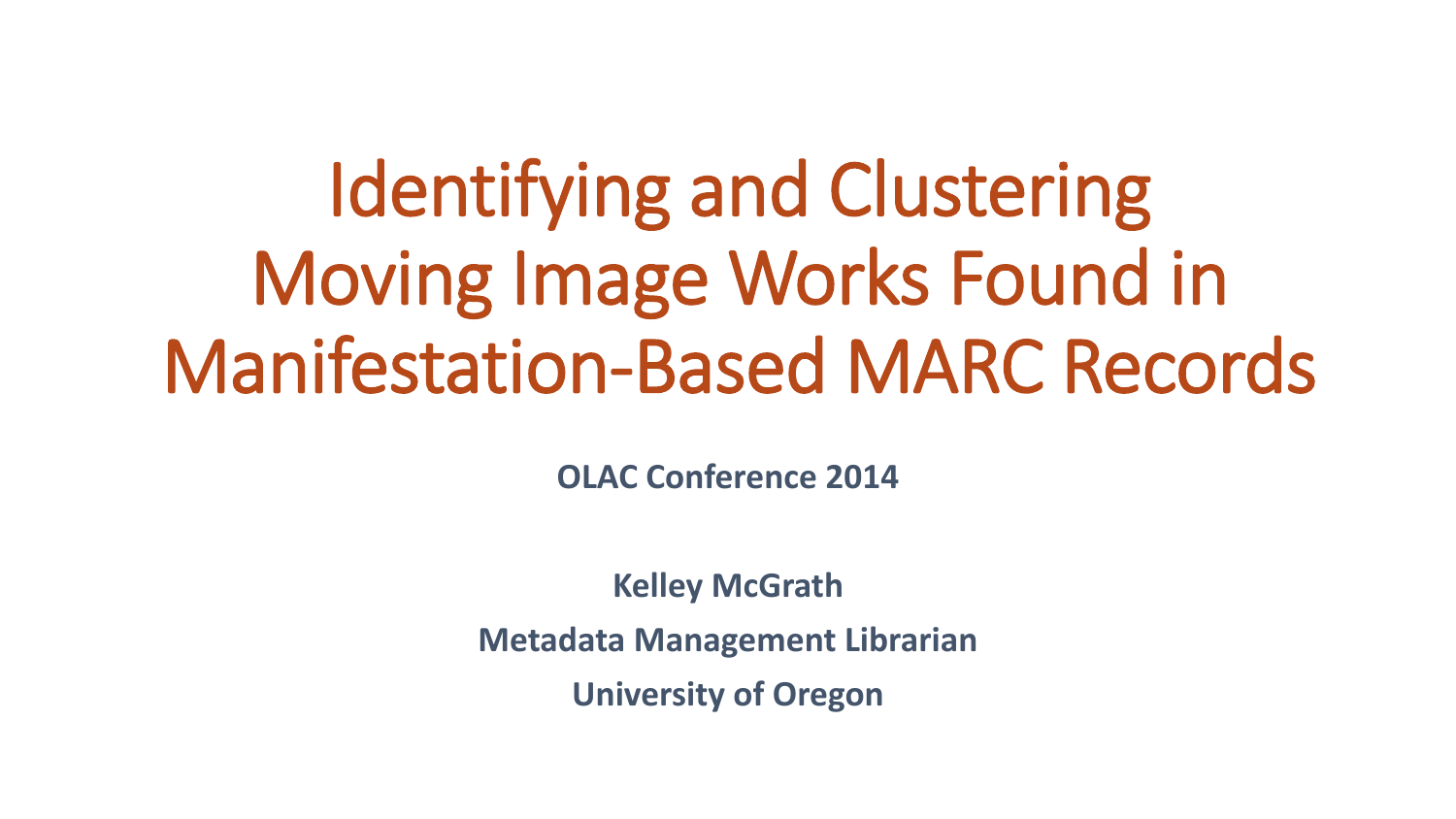# Identifying and Clustering Moving Image Works Found in Manifestation-Based MARC Records

**OLAC Conference 2014**

**Kelley McGrath**

**Metadata Management Librarian**

**University of Oregon**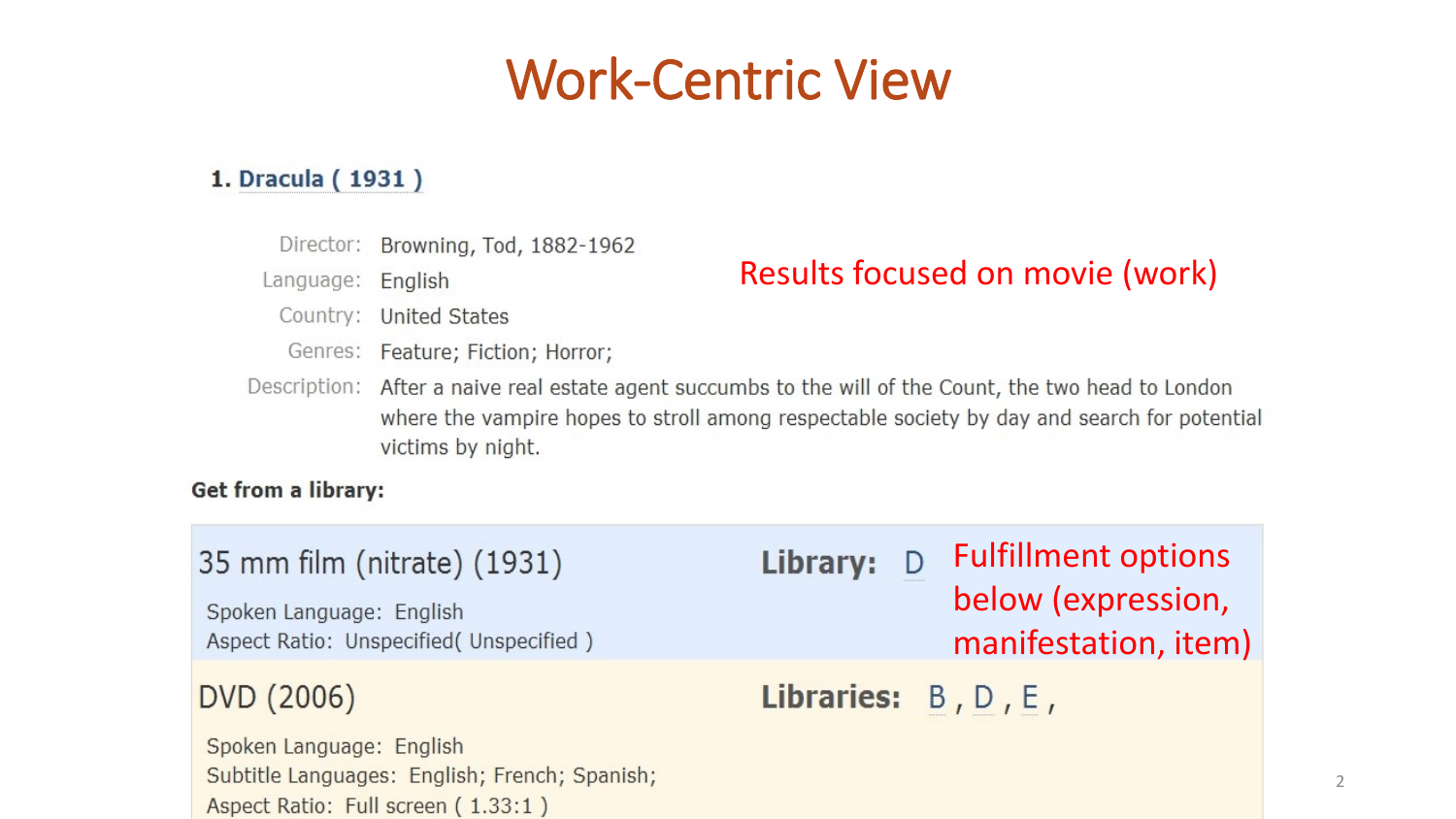### Work-Centric View

#### 1. Dracula (1931)

Director: Browning, Tod, 1882-1962

Language: English

#### Results focused on movie (work)

- Country: United States
- Genres: Feature; Fiction; Horror;

Subtitle Languages: English; French; Spanish;

Aspect Ratio: Full screen (1.33:1)

Description: After a naive real estate agent succumbs to the will of the Count, the two head to London where the vampire hopes to stroll among respectable society by day and search for potential victims by night.

#### **Get from a library:**

| 35 mm film (nitrate) (1931)<br>Spoken Language: English<br>Aspect Ratio: Unspecified (Unspecified) | Library:               | <b>Fulfillment options</b><br>below (expression,<br>manifestation, item) |
|----------------------------------------------------------------------------------------------------|------------------------|--------------------------------------------------------------------------|
| DVD (2006)                                                                                         | Libraries: $B, D, E$ , |                                                                          |
| Spoken Language: English                                                                           |                        |                                                                          |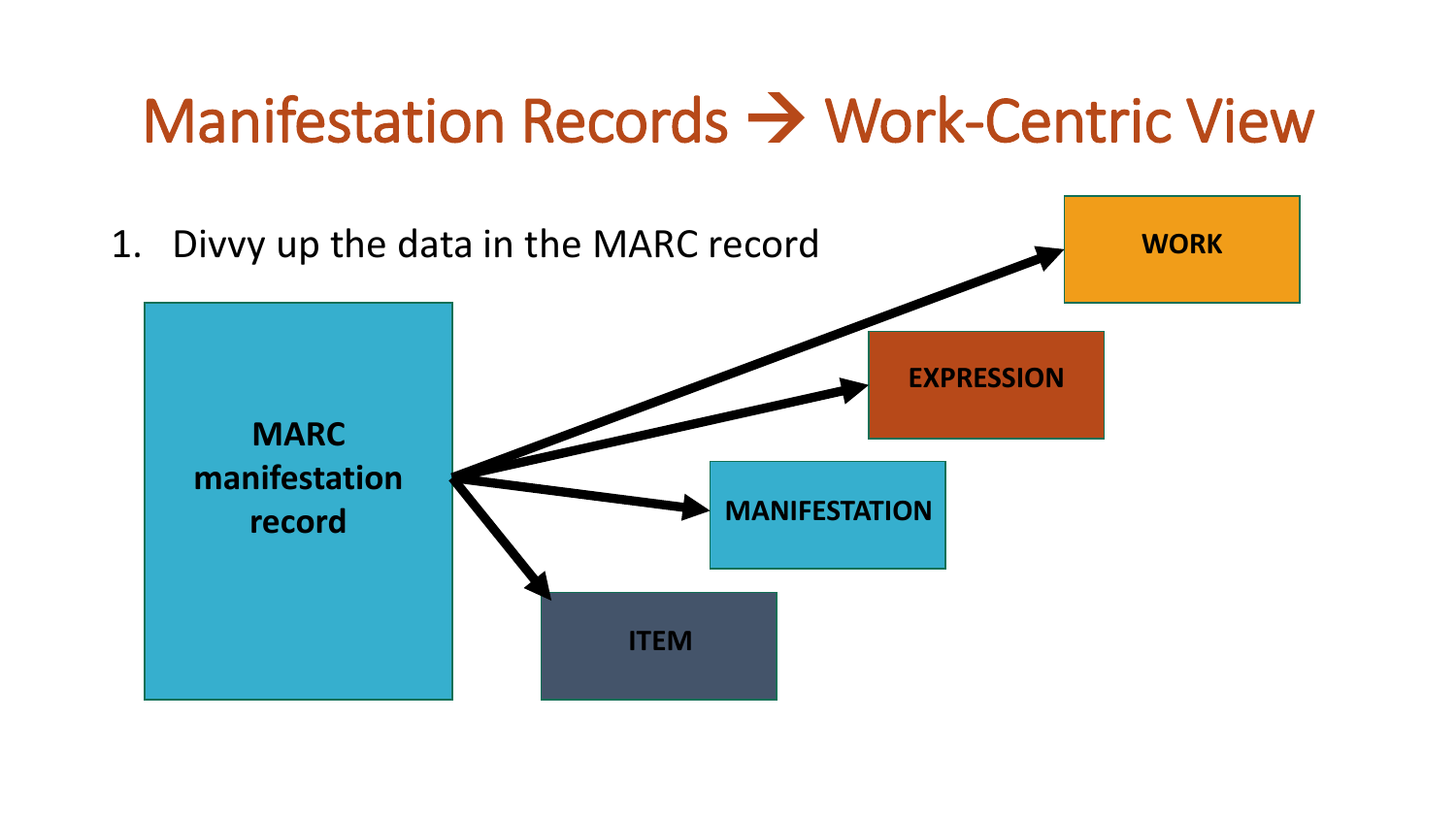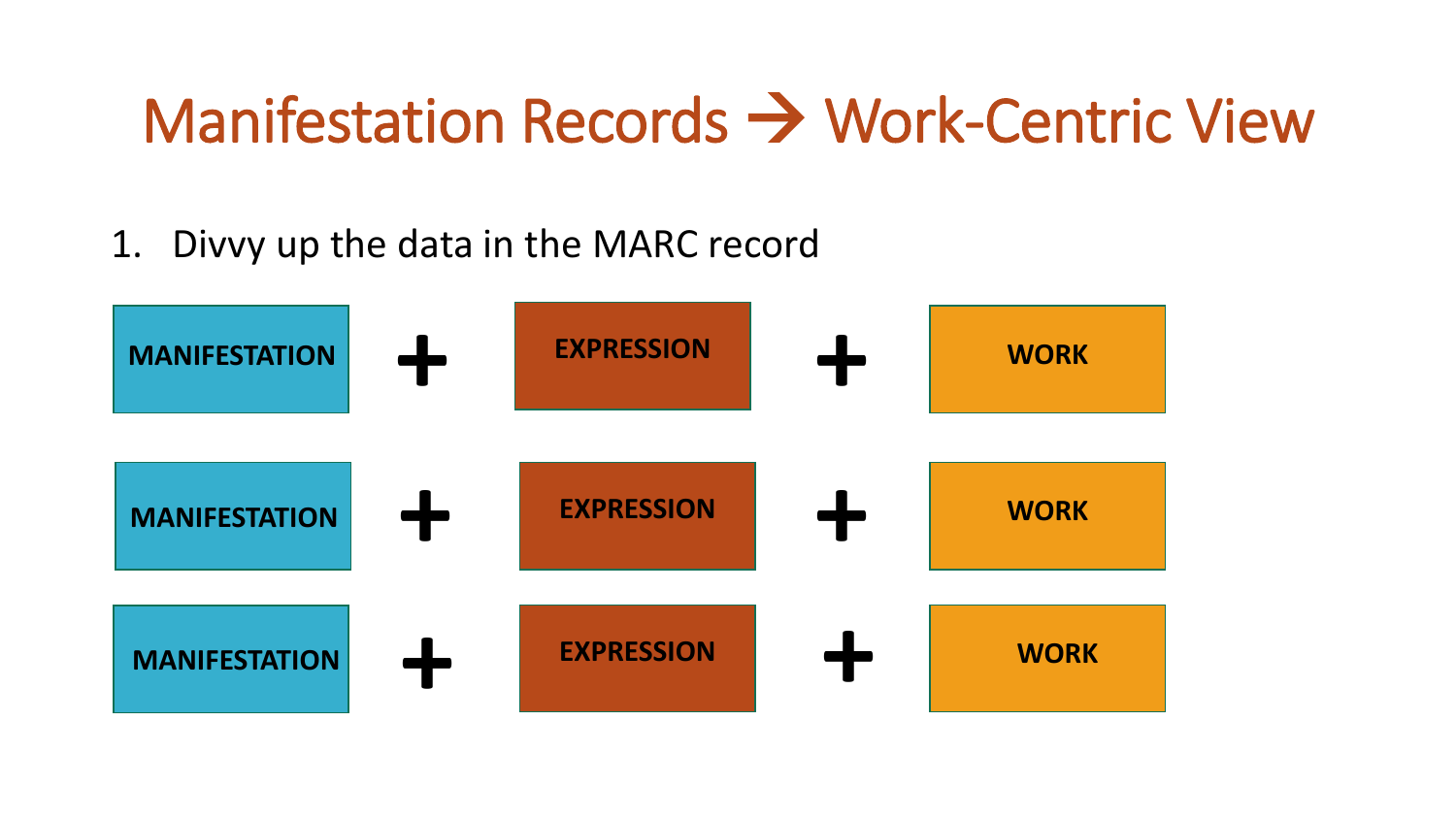### 1. Divvy up the data in the MARC record

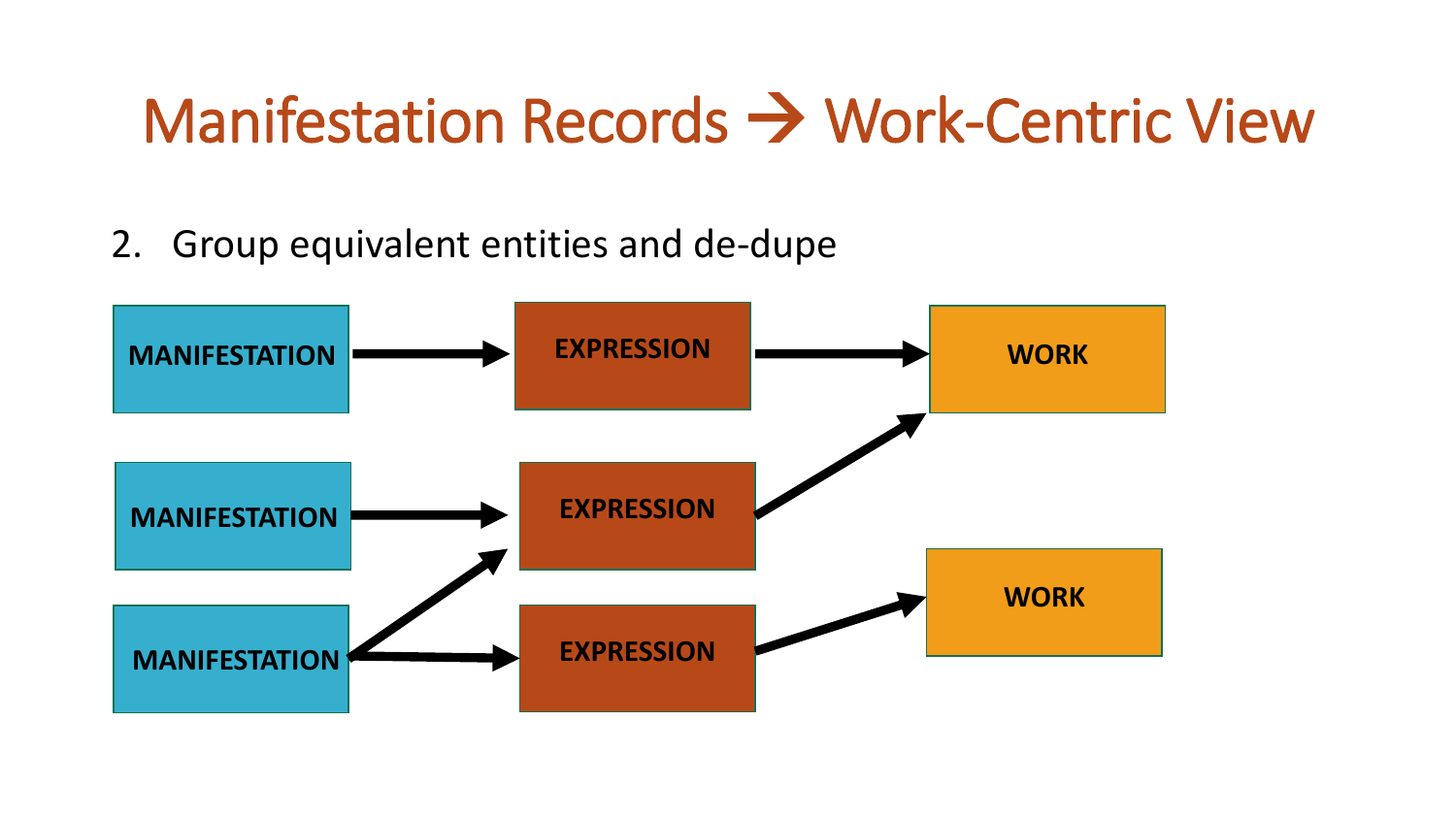### 2. Group equivalent entities and de-dupe

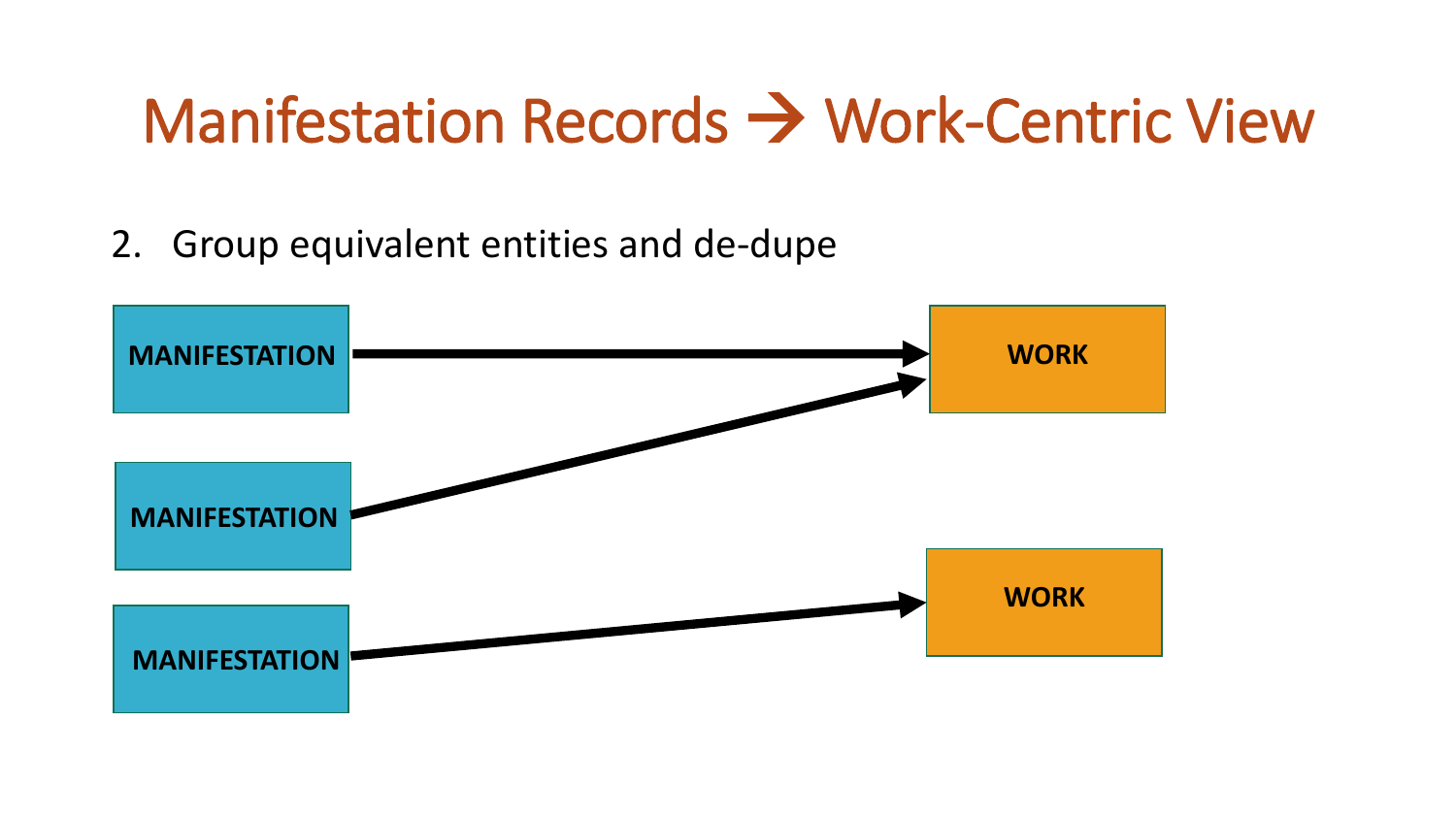2. Group equivalent entities and de-dupe

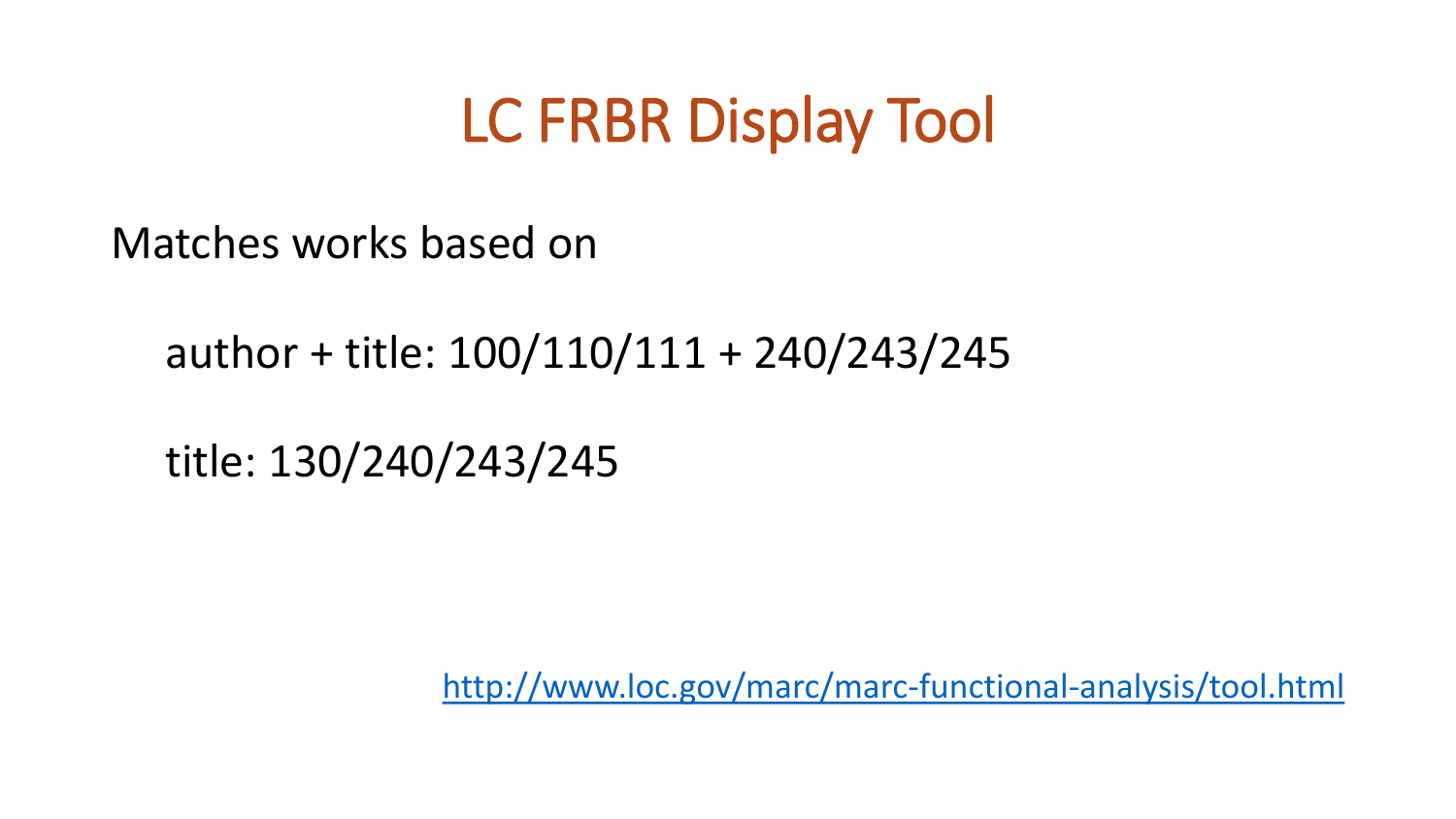### LC FRBR Display Tool

Matches works based on

### author + title: 100/110/111 + 240/243/245

title: 130/240/243/245

<http://www.loc.gov/marc/marc-functional-analysis/tool.html>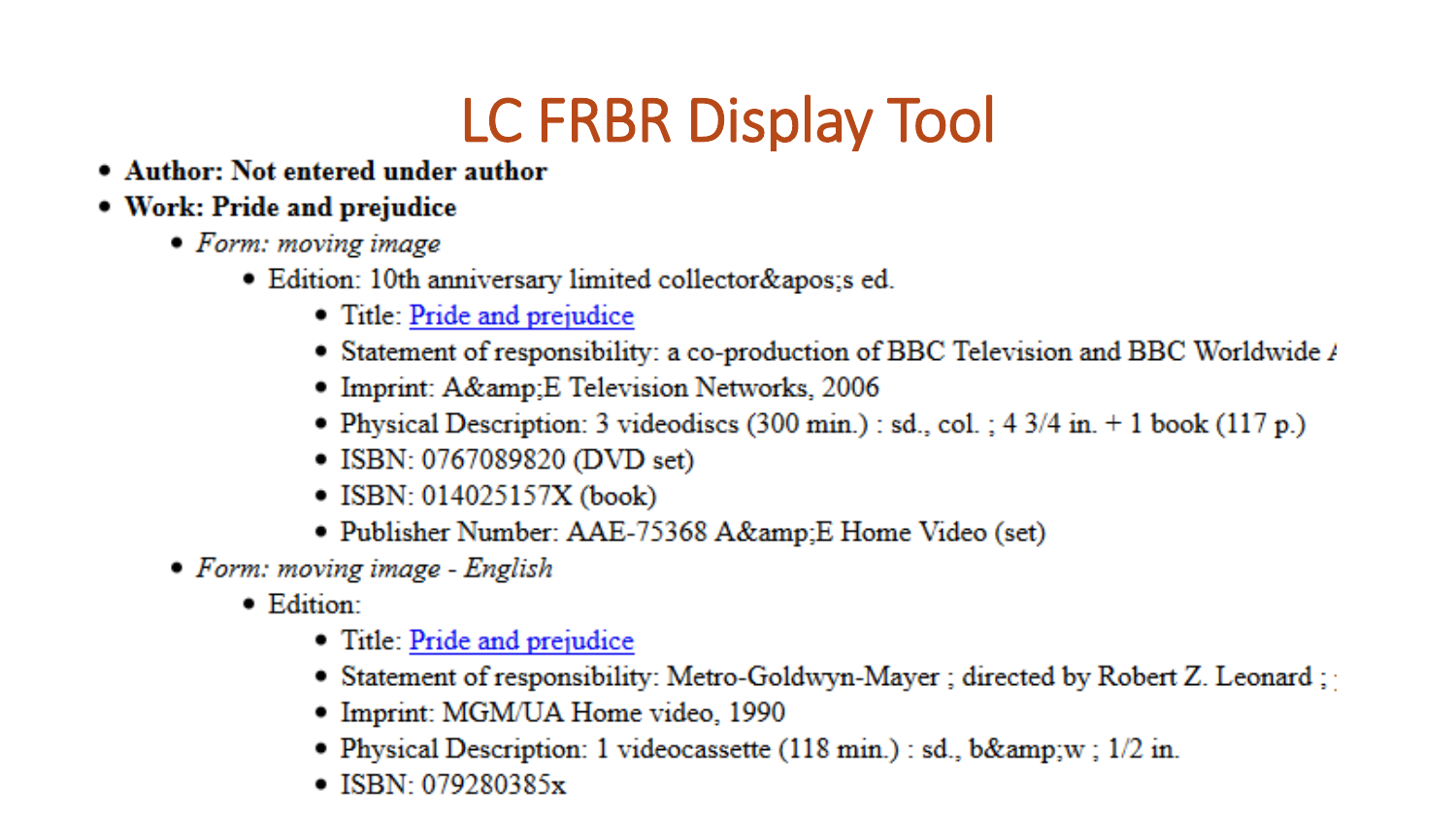### LC FRBR Display Tool

• Author: Not entered under author

#### • Work: Pride and prejudice

- $\bullet$  Form: moving image
	- Edition: 10th anniversary limited collector & apos; s ed.
		- Title: Pride and prejudice
		- Statement of responsibility: a co-production of BBC Television and BBC Worldwide /
		- Imprint: A& E Television Networks, 2006
		- Physical Description: 3 videodiscs (300 min.) : sd., col. ;  $4 \frac{3}{4}$  in.  $+ 1$  book (117 p.)
		- ISBN: 0767089820 (DVD set)
		- ISBN:  $014025157X$  (book)
		- Publisher Number: AAE-75368 A&amp:E Home Video (set)
- Form: moving image English
	- $\bullet$  Edition:
		- Title: Pride and prejudice
		- Statement of responsibility: Metro-Goldwyn-Mayer ; directed by Robert Z. Leonard ;
		- Imprint: MGM/UA Home video, 1990
		- Physical Description: 1 videocassette  $(118 \text{ min.})$ : sd., b&w;  $1/2$  in.
		- $\bullet$  ISBN 079280385 $x$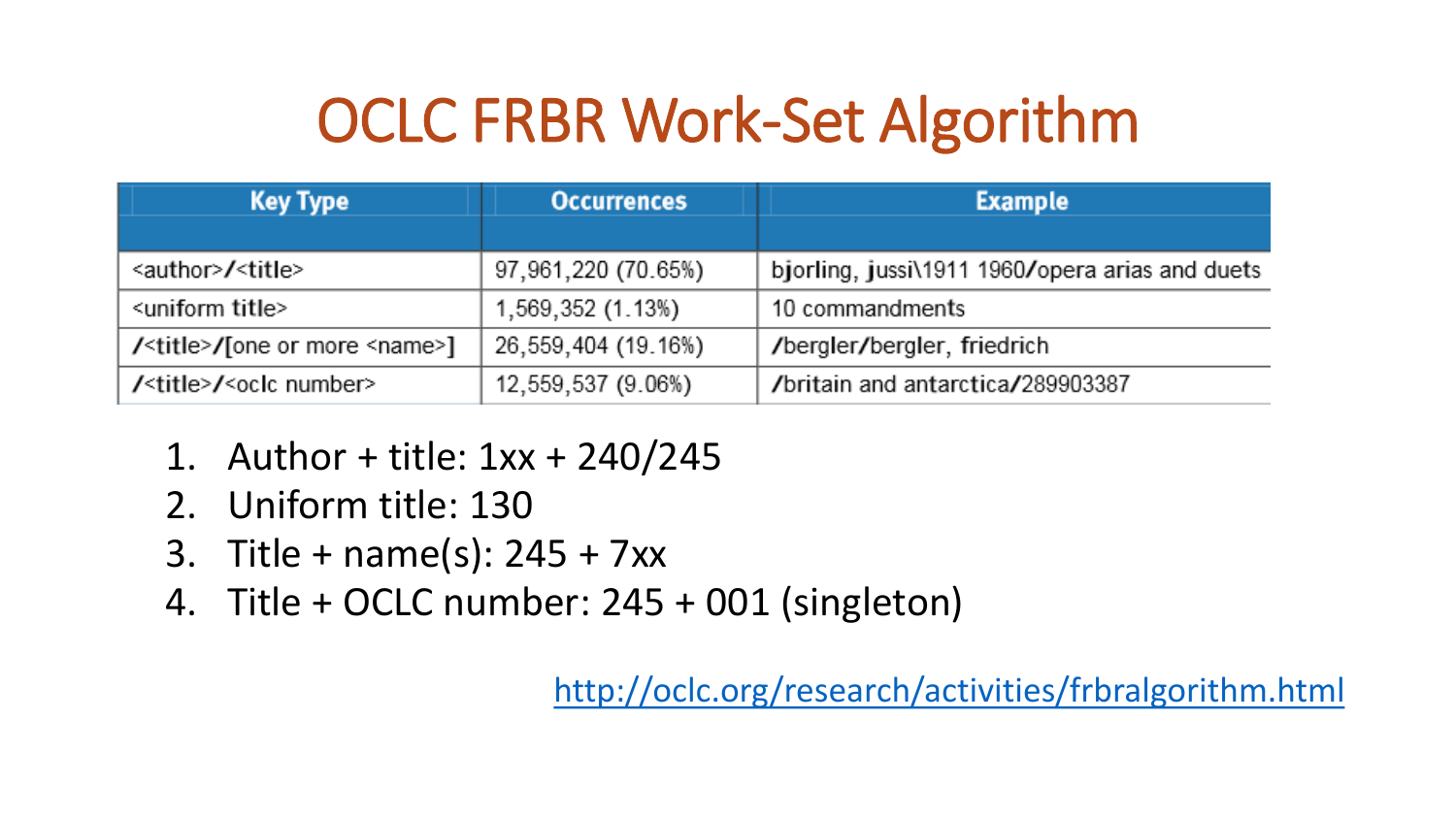## OCLC FRBR Work-Set Algorithm

| <b>Key Type</b>                               | <b>Occurrences</b>  | <b>Example</b>                                  |
|-----------------------------------------------|---------------------|-------------------------------------------------|
|                                               |                     |                                                 |
| <author>/<title></title></author>             | 97,961,220 (70.65%) | bjorling, jussi\1911 1960/opera arias and duets |
| <uniform title=""></uniform>                  | 1,569,352 (1.13%)   | 10 commandments                                 |
| / <title>/[one or more <name>]</name></title> | 26,559,404 (19.16%) | /bergler/bergler, friedrich                     |
| / <title>/<oclc number=""></oclc></title>     | 12,559,537 (9.06%)  | /britain and antarctica/289903387               |

- 1. Author + title: 1xx + 240/245
- 2. Uniform title: 130
- 3. Title + name(s): 245 + 7xx
- 4. Title + OCLC number: 245 + 001 (singleton)

<http://oclc.org/research/activities/frbralgorithm.html>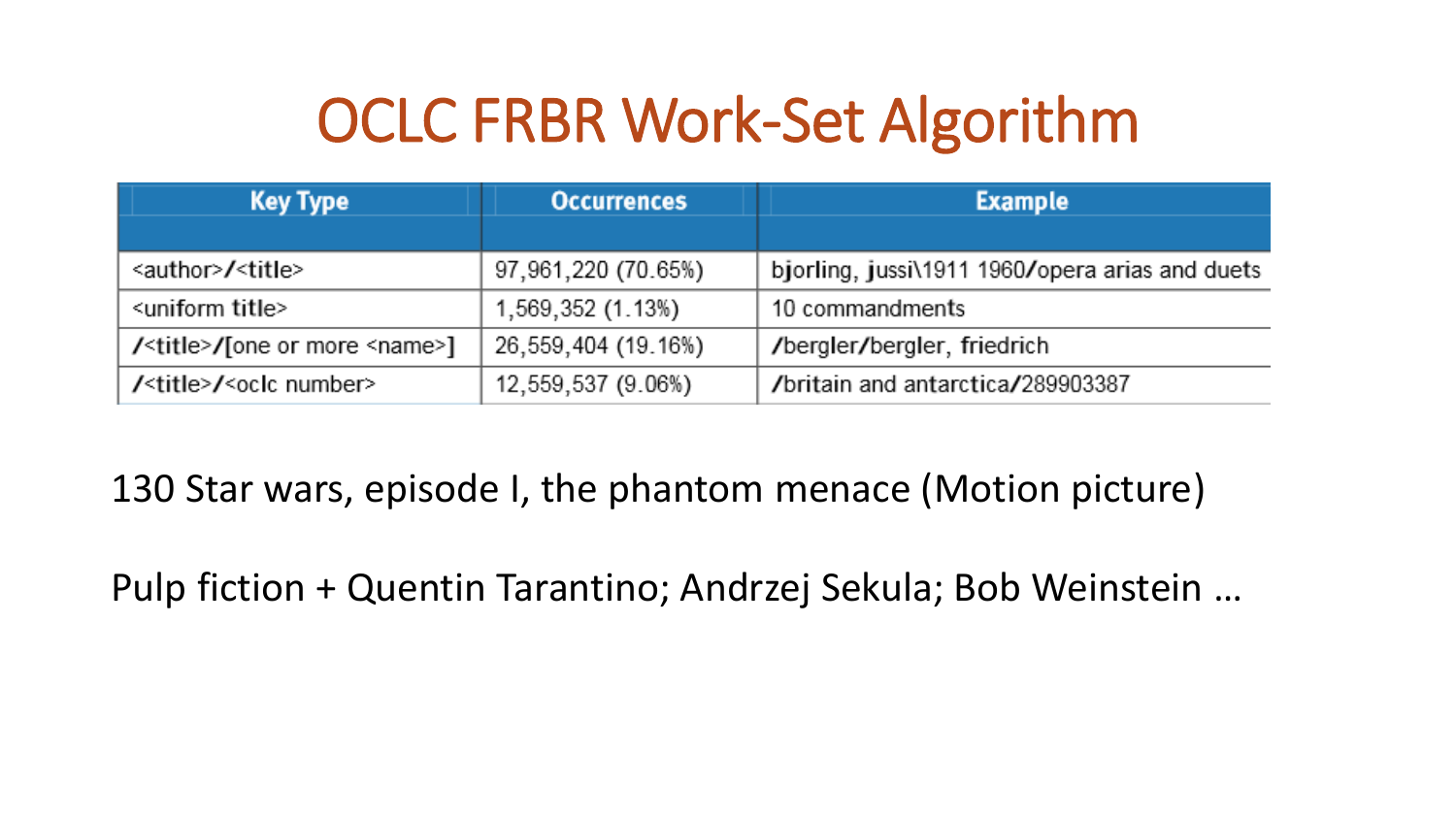## OCLC FRBR Work-Set Algorithm

| <b>Key Type</b>                               | <b>Occurrences</b>  | <b>Example</b>                                  |
|-----------------------------------------------|---------------------|-------------------------------------------------|
|                                               |                     |                                                 |
| <author>/<title></title></author>             | 97,961,220 (70.65%) | bjorling, jussi\1911 1960/opera arias and duets |
| <uniform title=""></uniform>                  | 1,569,352 (1.13%)   | 10 commandments                                 |
| / <title>/[one or more <name>]</name></title> | 26,559,404 (19.16%) | /bergler/bergler, friedrich                     |
| / <title>/<oclc number=""></oclc></title>     | 12,559,537 (9.06%)  | /britain and antarctica/289903387               |

130 Star wars, episode I, the phantom menace (Motion picture)

Pulp fiction + Quentin Tarantino; Andrzej Sekula; Bob Weinstein …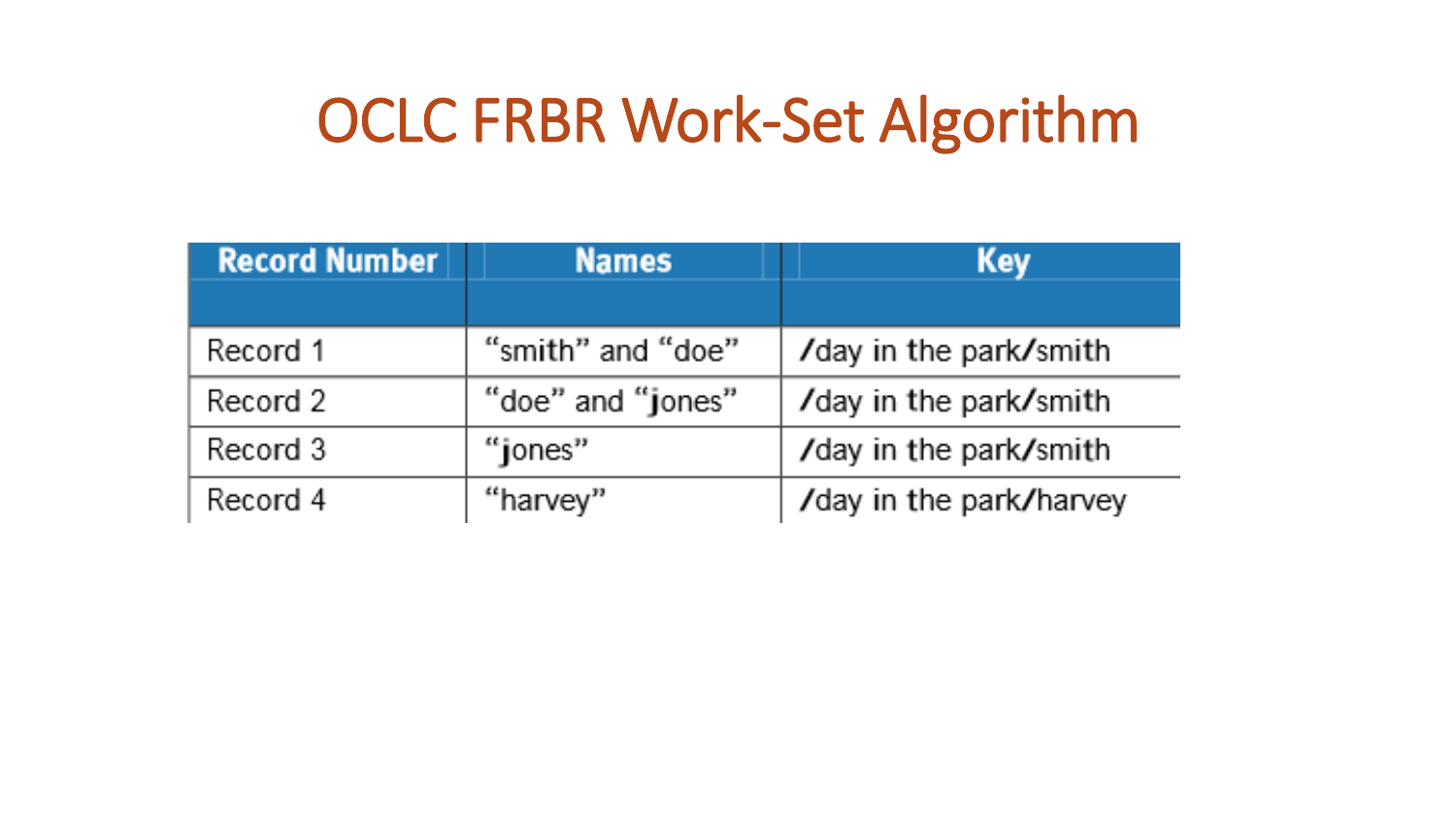### OCLC FRBR Work-Set Algorithm

| <b>Record Number</b> | <b>Names</b>      | <b>Key</b>              |
|----------------------|-------------------|-------------------------|
|                      |                   |                         |
| Record 1             | "smith" and "doe" | /day in the park/smith  |
| Record 2             | "doe" and "jones" | /day in the park/smith  |
| Record 3             | "jones"           | /day in the park/smith  |
| Record 4             | "harvey"          | /day in the park/harvey |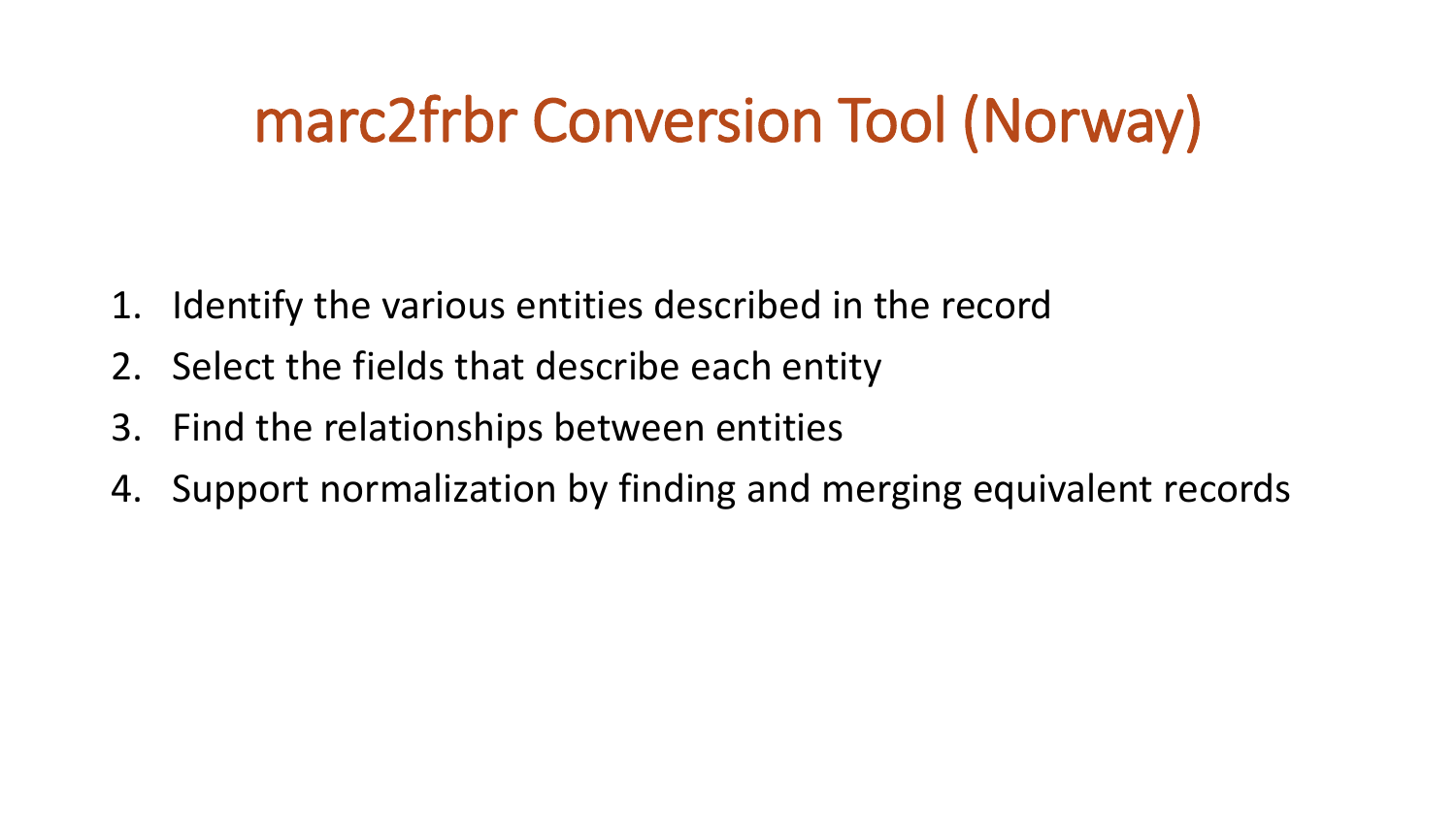### marc2frbr Conversion Tool (Norway)

- 1. Identify the various entities described in the record
- 2. Select the fields that describe each entity
- 3. Find the relationships between entities
- 4. Support normalization by finding and merging equivalent records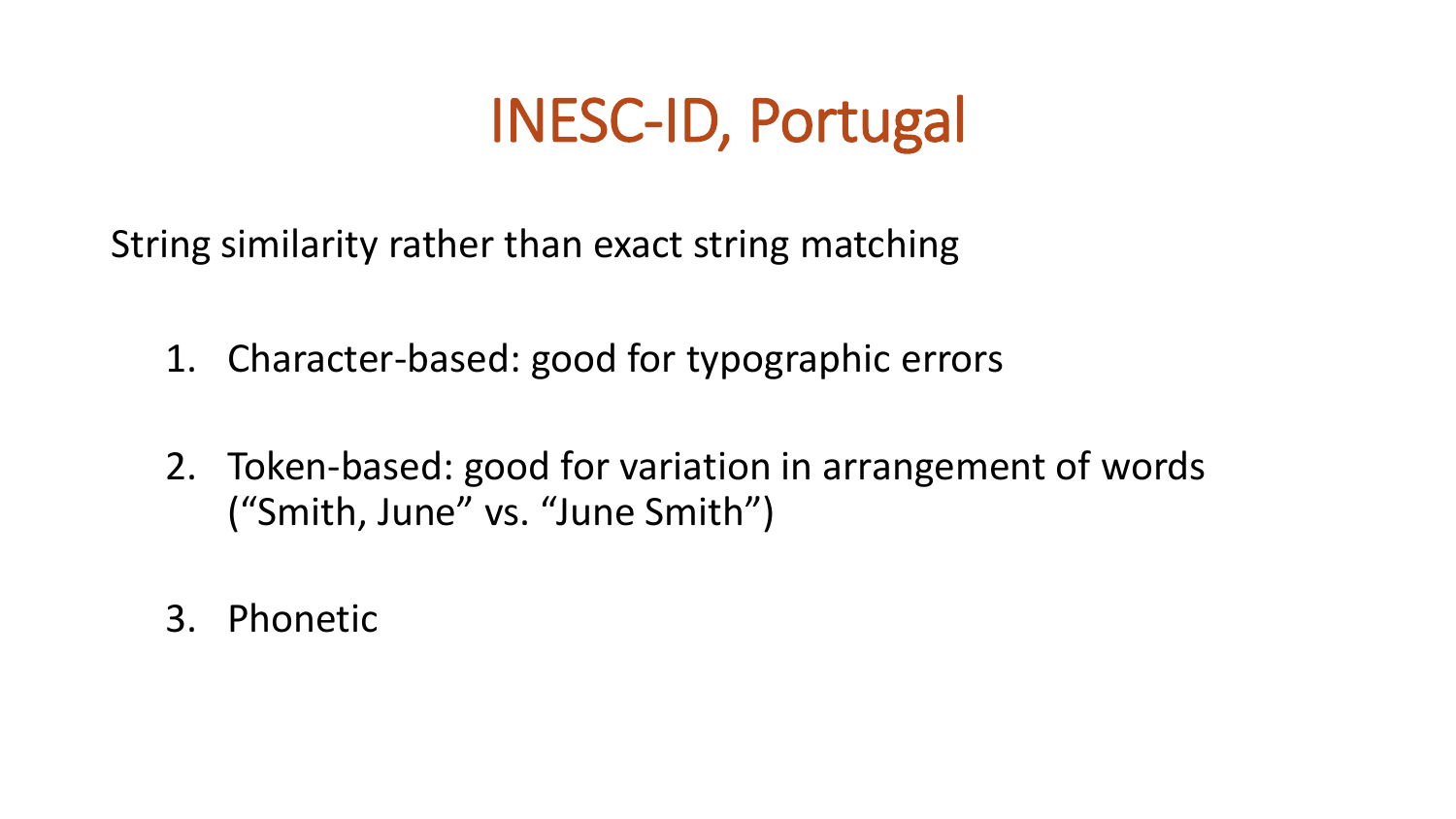### INESC-ID, Portugal

String similarity rather than exact string matching

- 1. Character-based: good for typographic errors
- 2. Token-based: good for variation in arrangement of words ("Smith, June" vs. "June Smith")
- 3. Phonetic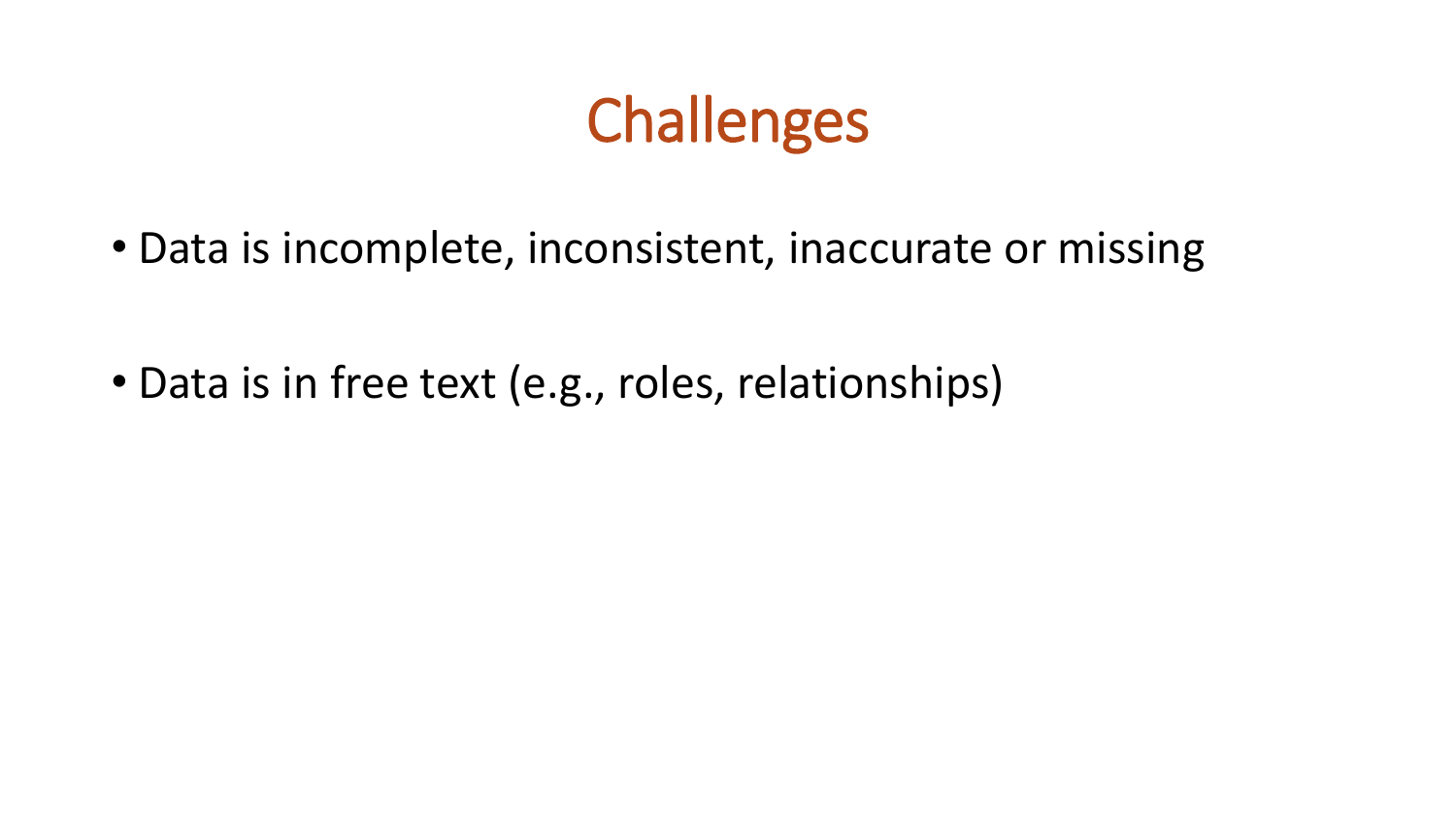## Challenges

• Data is incomplete, inconsistent, inaccurate or missing

• Data is in free text (e.g., roles, relationships)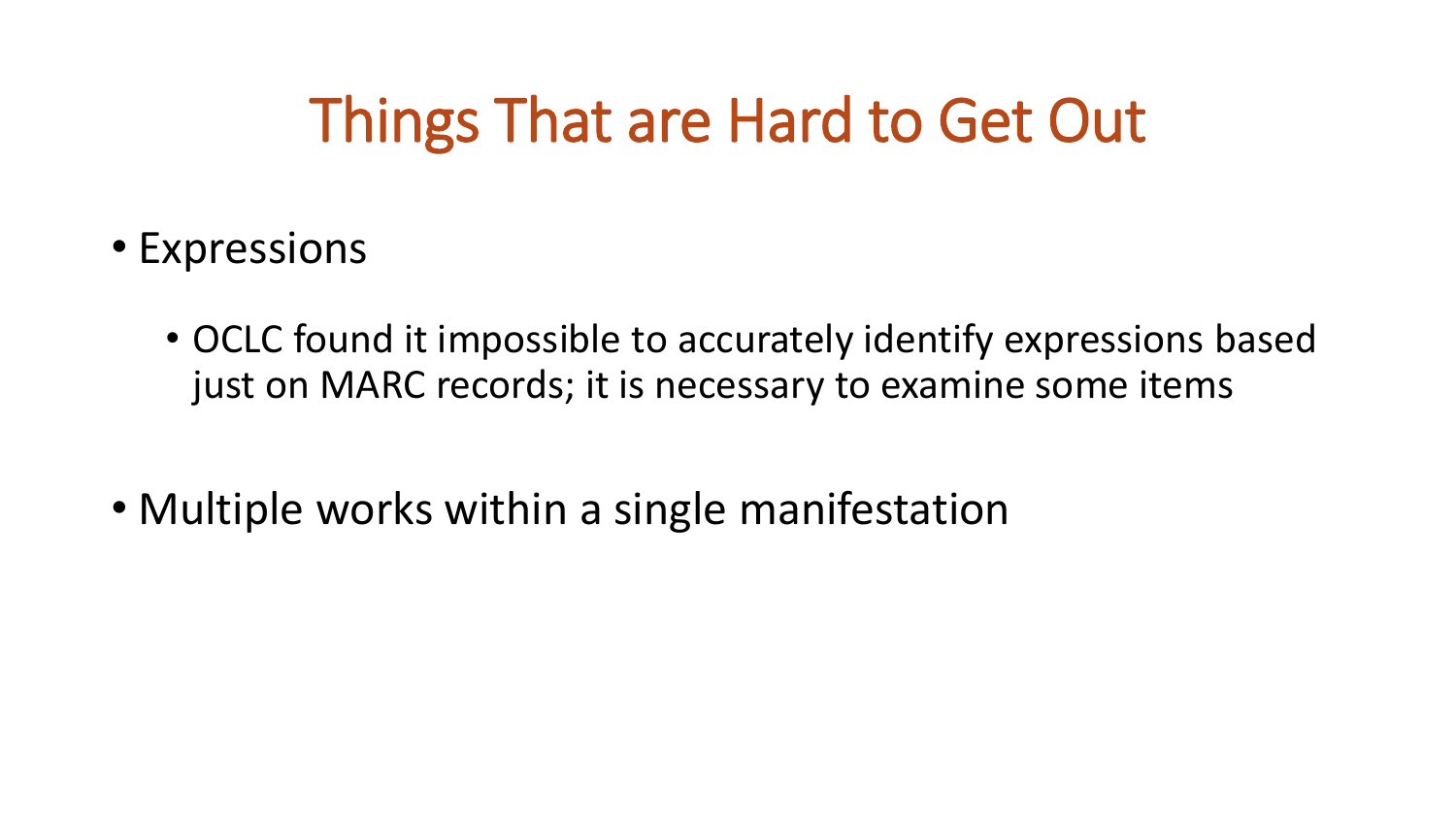### Things That are Hard to Get Out

- Expressions
	- OCLC found it impossible to accurately identify expressions based just on MARC records; it is necessary to examine some items
- Multiple works within a single manifestation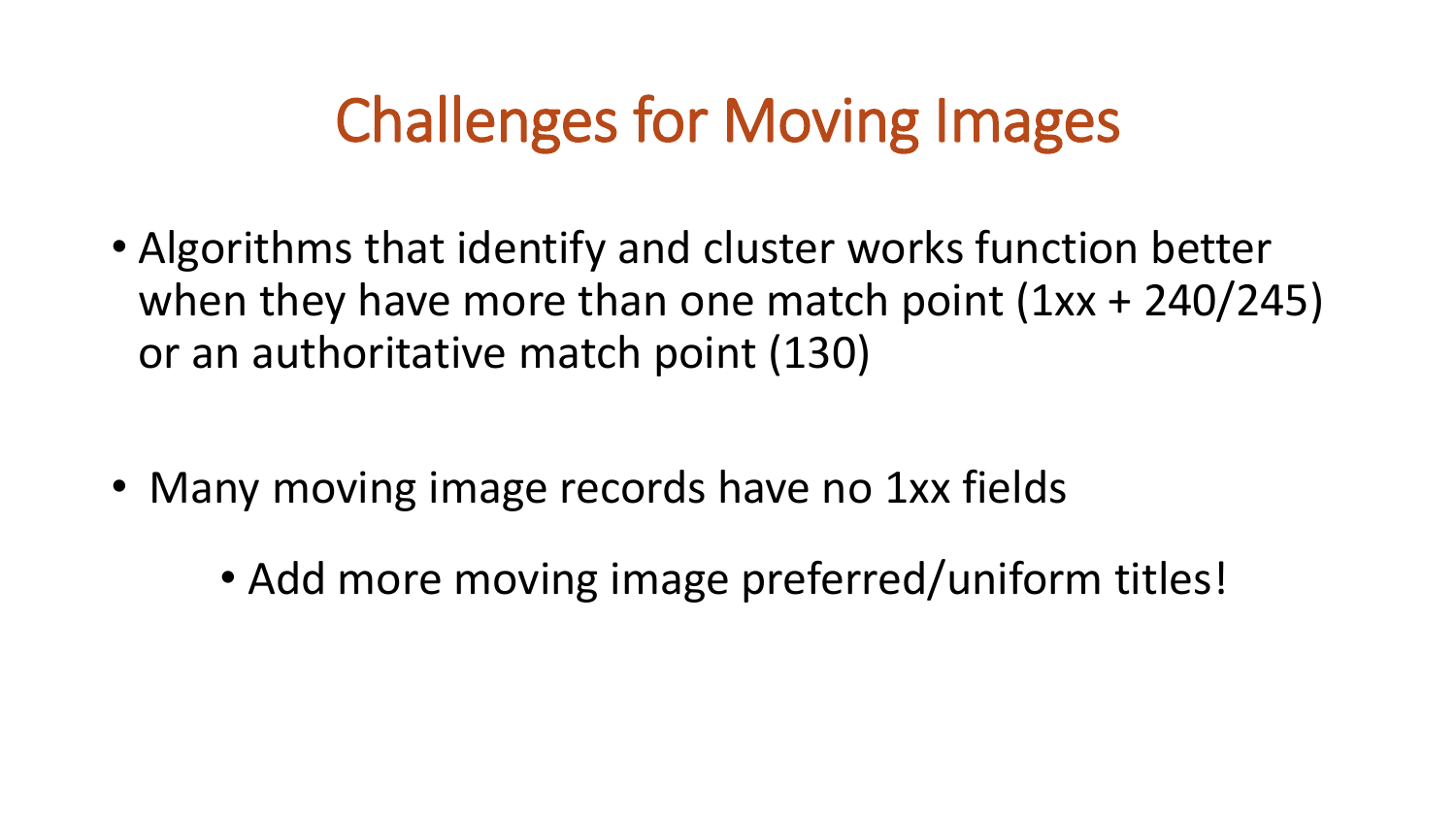## Challenges for Moving Images

- Algorithms that identify and cluster works function better when they have more than one match point  $(1xx + 240/245)$ or an authoritative match point (130)
- Many moving image records have no 1xx fields
	- Add more moving image preferred/uniform titles!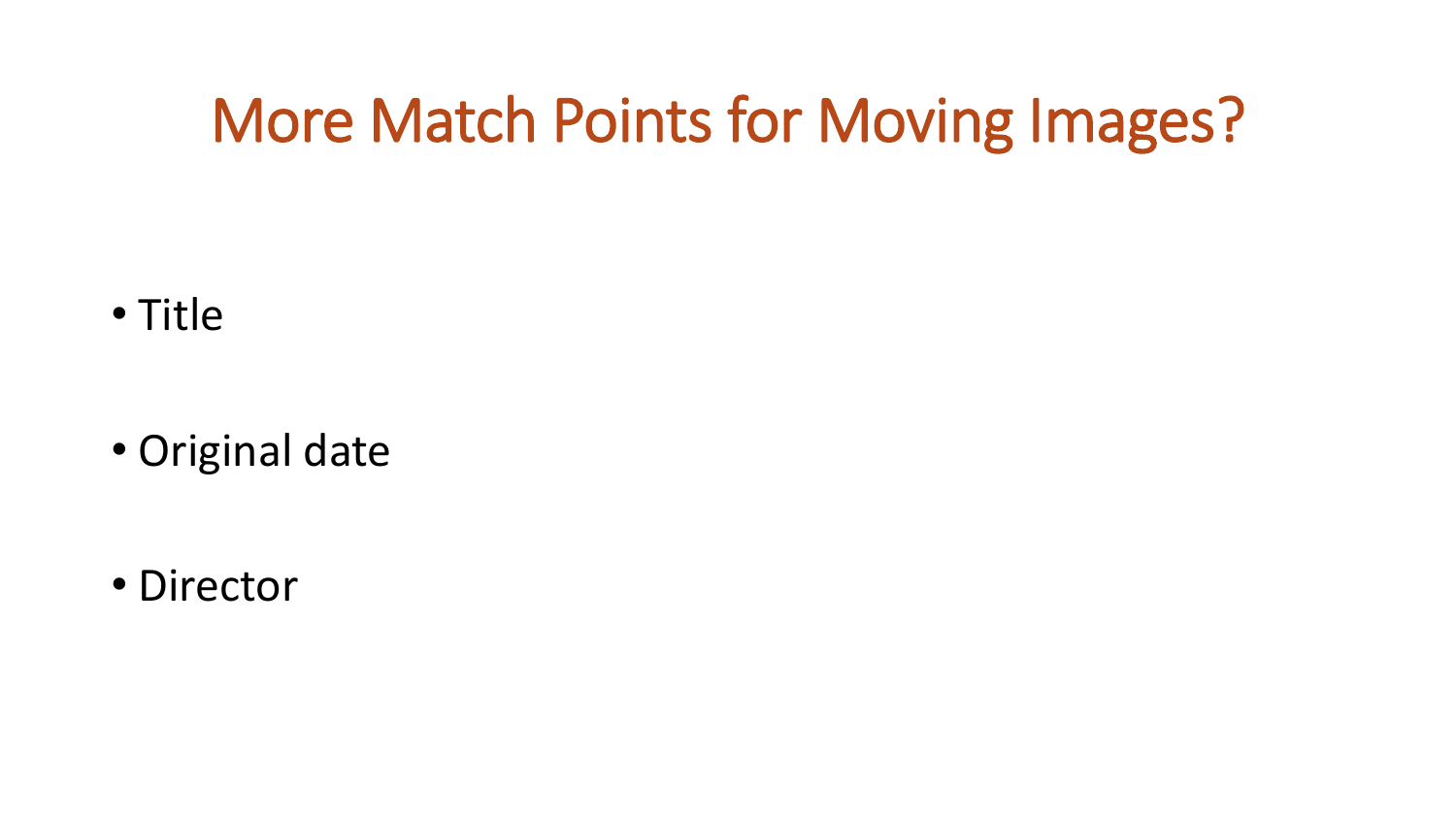### More Match Points for Moving Images?

• Title

• Original date

• Director